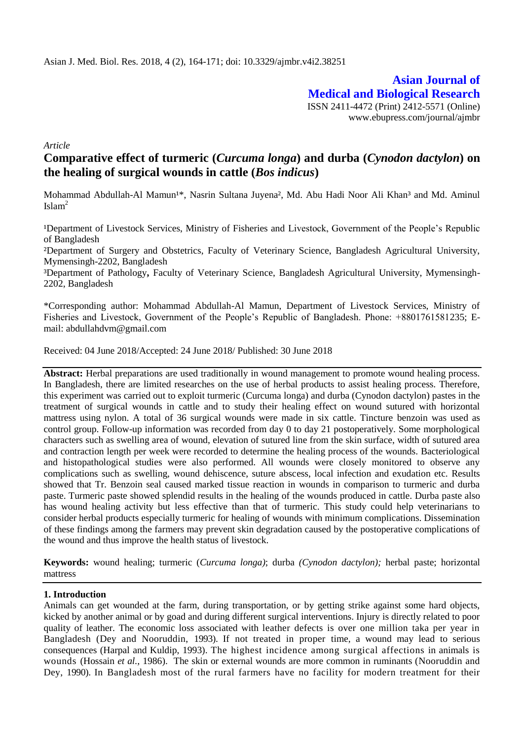**Asian Journal of Medical and Biological Research** ISSN 2411-4472 (Print) 2412-5571 (Online) www.ebupress.com/journal/ajmbr

*Article*

# **Comparative effect of turmeric (***Curcuma longa***) and durba (***Cynodon dactylon***) on the healing of surgical wounds in cattle (***Bos indicus***)**

Mohammad Abdullah-Al Mamun<sup>1\*</sup>, Nasrin Sultana Juyena<sup>2</sup>, Md. Abu Hadi Noor Ali Khan<sup>3</sup> and Md. Aminul  $Islam<sup>2</sup>$ 

<sup>1</sup>Department of Livestock Services, Ministry of Fisheries and Livestock, Government of the People's Republic of Bangladesh

²Department of Surgery and Obstetrics, Faculty of Veterinary Science, Bangladesh Agricultural University, Mymensingh-2202, Bangladesh

³Department of Pathology**,** Faculty of Veterinary Science, Bangladesh Agricultural University, Mymensingh-2202, Bangladesh

\*Corresponding author: Mohammad Abdullah-Al Mamun, Department of Livestock Services, Ministry of Fisheries and Livestock, Government of the People's Republic of Bangladesh. Phone: +8801761581235; Email: abdullahdvm@gmail.com

Received: 04 June 2018/Accepted: 24 June 2018/ Published: 30 June 2018

**Abstract:** Herbal preparations are used traditionally in wound management to promote wound healing process. In Bangladesh, there are limited researches on the use of herbal products to assist healing process. Therefore, this experiment was carried out to exploit turmeric (Curcuma longa) and durba (Cynodon dactylon) pastes in the treatment of surgical wounds in cattle and to study their healing effect on wound sutured with horizontal mattress using nylon. A total of 36 surgical wounds were made in six cattle. Tincture benzoin was used as control group. Follow-up information was recorded from day 0 to day 21 postoperatively. Some morphological characters such as swelling area of wound, elevation of sutured line from the skin surface, width of sutured area and contraction length per week were recorded to determine the healing process of the wounds. Bacteriological and histopathological studies were also performed. All wounds were closely monitored to observe any complications such as swelling, wound dehiscence, suture abscess, local infection and exudation etc. Results showed that Tr. Benzoin seal caused marked tissue reaction in wounds in comparison to turmeric and durba paste. Turmeric paste showed splendid results in the healing of the wounds produced in cattle. Durba paste also has wound healing activity but less effective than that of turmeric. This study could help veterinarians to consider herbal products especially turmeric for healing of wounds with minimum complications. Dissemination of these findings among the farmers may prevent skin degradation caused by the postoperative complications of the wound and thus improve the health status of livestock.

**Keywords:** wound healing; turmeric (*Curcuma longa)*; durba *(Cynodon dactylon);* herbal paste; horizontal mattress

## **1. Introduction**

Animals can get wounded at the farm, during transportation, or by getting strike against some hard objects, kicked by another animal or by goad and during different surgical interventions. Injury is directly related to poor quality of leather. The economic loss associated with leather defects is over one million taka per year in Bangladesh (Dey and Nooruddin, 1993). If not treated in proper time, a wound may lead to serious consequences (Harpal and Kuldip, 1993). The highest incidence among surgical affections in animals is wounds (Hossain *et al.,* 1986). The skin or external wounds are more common in ruminants (Nooruddin and Dey, 1990). In Bangladesh most of the rural farmers have no facility for modern treatment for their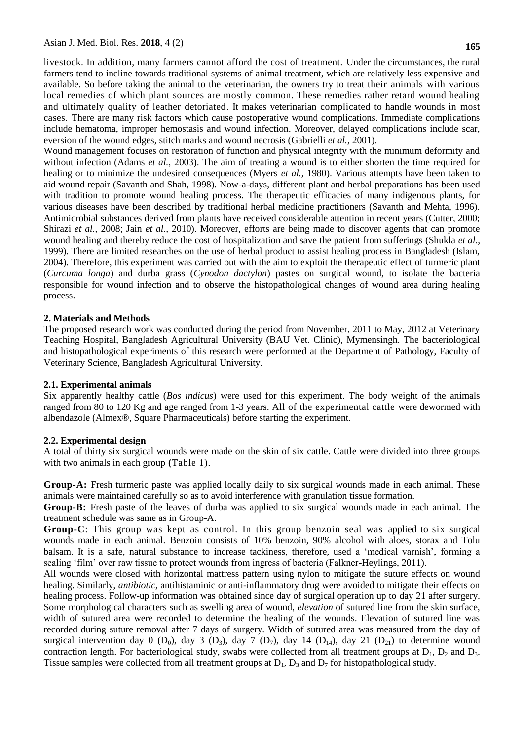livestock. In addition, many farmers cannot afford the cost of treatment. Under the circumstances, the rural farmers tend to incline towards traditional systems of animal treatment, which are relatively less expensive and available. So before taking the animal to the veterinarian, the owners try to treat their animals with various local remedies of which plant sources are mostly common. These remedies rather retard wound healing and ultimately quality of leather detoriated. It makes veterinarian complicated to handle wounds in most cases. There are many risk factors which cause postoperative wound complications. Immediate complications include hematoma, improper hemostasis and wound infection. Moreover, delayed complications include scar, eversion of the wound edges, stitch marks and wound necrosis (Gabrielli *et al.,* 2001).

Wound management focuses on restoration of function and physical integrity with the minimum deformity and without infection (Adams *et al.,* 2003). The aim of treating a wound is to either shorten the time required for healing or to minimize the undesired consequences (Myers *et al.,* 1980). Various attempts have been taken to aid wound repair (Savanth and Shah, 1998). Now-a-days, different plant and herbal preparations has been used with tradition to promote wound healing process. The therapeutic efficacies of many indigenous plants, for various diseases have been described by traditional herbal medicine practitioners (Savanth and Mehta, 1996). Antimicrobial substances derived from plants have received considerable attention in recent years (Cutter, 2000; Shirazi *et al.,* 2008; Jain *et al.,* 2010). Moreover, efforts are being made to discover agents that can promote wound healing and thereby reduce the cost of hospitalization and save the patient from sufferings (Shukla *et al*., 1999). There are limited researches on the use of herbal product to assist healing process in Bangladesh (Islam, 2004). Therefore, this experiment was carried out with the aim to exploit the therapeutic effect of turmeric plant (*Curcuma longa*) and durba grass (*Cynodon dactylon*) pastes on surgical wound, to isolate the bacteria responsible for wound infection and to observe the histopathological changes of wound area during healing process.

#### **2. Materials and Methods**

The proposed research work was conducted during the period from November, 2011 to May, 2012 at Veterinary Teaching Hospital, Bangladesh Agricultural University (BAU Vet. Clinic), Mymensingh. The bacteriological and histopathological experiments of this research were performed at the Department of Pathology, Faculty of Veterinary Science, Bangladesh Agricultural University.

#### **2.1. Experimental animals**

Six apparently healthy cattle (*Bos indicus*) were used for this experiment. The body weight of the animals ranged from 80 to 120 Kg and age ranged from 1-3 years. All of the experimental cattle were dewormed with albendazole (Almex®, Square Pharmaceuticals) before starting the experiment.

#### **2.2. Experimental design**

A total of thirty six surgical wounds were made on the skin of six cattle. Cattle were divided into three groups with two animals in each group (Table 1).

**Group-A:** Fresh turmeric paste was applied locally daily to six surgical wounds made in each animal. These animals were maintained carefully so as to avoid interference with granulation tissue formation.

**Group-B:** Fresh paste of the leaves of durba was applied to six surgical wounds made in each animal. The treatment schedule was same as in Group-A.

**Group-C**: This group was kept as control. In this group benzoin seal was applied to six surgical wounds made in each animal. Benzoin consists of 10% benzoin, 90% alcohol with aloes, storax and Tolu balsam. It is a safe, natural substance to increase tackiness, therefore, used a 'medical varnish', forming a sealing 'film' over raw tissue to protect wounds from ingress of bacteria (Falkner-Heylings, 2011).

All wounds were closed with horizontal mattress pattern using nylon to mitigate the suture effects on wound healing. Similarly, *antibiotic,* antihistaminic or anti-inflammatory drug were avoided to mitigate their effects on healing process. Follow-up information was obtained since day of surgical operation up to day 21 after surgery. Some morphological characters such as swelling area of wound, *elevation* of sutured line from the skin surface, width of sutured area were recorded to determine the healing of the wounds. Elevation of sutured line was recorded during suture removal after 7 days of surgery. Width of sutured area was measured from the day of surgical intervention day 0 (D<sub>0</sub>), day 3 (D<sub>3</sub>), day 7 (D<sub>7</sub>), day 14 (D<sub>14</sub>), day 21 (D<sub>21</sub>) to determine wound contraction length. For bacteriological study, swabs were collected from all treatment groups at  $D_1$ ,  $D_2$  and  $D_3$ . Tissue samples were collected from all treatment groups at  $D_1$ ,  $D_3$  and  $D_7$  for histopathological study.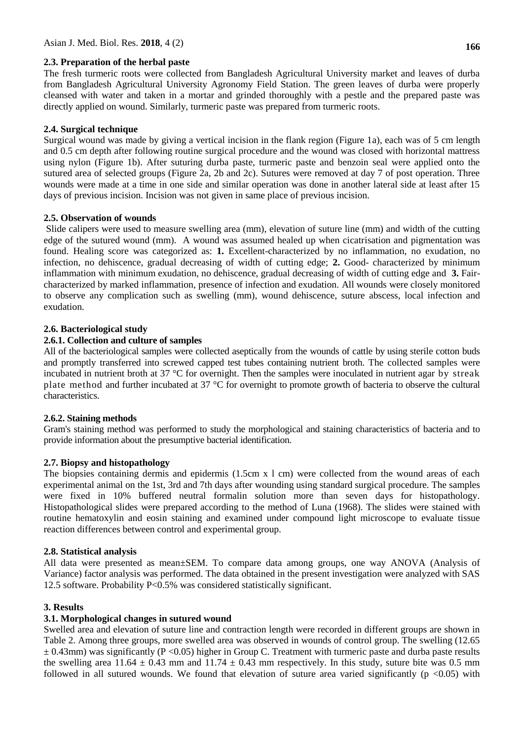## **2.3. Preparation of the herbal paste**

The fresh turmeric roots were collected from Bangladesh Agricultural University market and leaves of durba from Bangladesh Agricultural University Agronomy Field Station. The green leaves of durba were properly cleansed with water and taken in a mortar and grinded thoroughly with a pestle and the prepared paste was directly applied on wound. Similarly, turmeric paste was prepared from turmeric roots.

# **2.4. Surgical technique**

Surgical wound was made by giving a vertical incision in the flank region (Figure 1a), each was of 5 cm length and 0.5 cm depth after following routine surgical procedure and the wound was closed with horizontal mattress using nylon (Figure 1b). After suturing durba paste, turmeric paste and benzoin seal were applied onto the sutured area of selected groups (Figure 2a, 2b and 2c). Sutures were removed at day 7 of post operation. Three wounds were made at a time in one side and similar operation was done in another lateral side at least after 15 days of previous incision. Incision was not given in same place of previous incision.

# **2.5. Observation of wounds**

Slide calipers were used to measure swelling area (mm), elevation of suture line (mm) and width of the cutting edge of the sutured wound (mm). A wound was assumed healed up when cicatrisation and pigmentation was found. Healing score was categorized as: **1.** Excellent-characterized by no inflammation, no exudation, no infection, no dehiscence, gradual decreasing of width of cutting edge; **2.** Good- characterized by minimum inflammation with minimum exudation, no dehiscence, gradual decreasing of width of cutting edge and **3.** Faircharacterized by marked inflammation, presence of infection and exudation. All wounds were closely monitored to observe any complication such as swelling (mm), wound dehiscence, suture abscess, local infection and exudation.

# **2.6. Bacteriological study**

# **2.6.1. Collection and culture of samples**

All of the bacteriological samples were collected aseptically from the wounds of cattle by using sterile cotton buds and promptly transferred into screwed capped test tubes containing nutrient broth. The collected samples were incubated in nutrient broth at 37 °C for overnight. Then the samples were inoculated in nutrient agar by streak plate method and further incubated at 37 °C for overnight to promote growth of bacteria to observe the cultural characteristics.

## **2.6.2. Staining methods**

Gram's staining method was performed to study the morphological and staining characteristics of bacteria and to provide information about the presumptive bacterial identification.

## **2.7. Biopsy and histopathology**

The biopsies containing dermis and epidermis (1.5cm x l cm) were collected from the wound areas of each experimental animal on the 1st, 3rd and 7th days after wounding using standard surgical procedure. The samples were fixed in 10% buffered neutral formalin solution more than seven days for histopathology. Histopathological slides were prepared according to the method of Luna (1968). The slides were stained with routine hematoxylin and eosin staining and examined under compound light microscope to evaluate tissue reaction differences between control and experimental group.

## **2.8. Statistical analysis**

All data were presented as mean±SEM. To compare data among groups, one way ANOVA (Analysis of Variance) factor analysis was performed. The data obtained in the present investigation were analyzed with SAS 12.5 software. Probability P<0.5% was considered statistically significant.

## **3. Results**

# **3.1. Morphological changes in sutured wound**

Swelled area and elevation of suture line and contraction length were recorded in different groups are shown in Table 2. Among three groups, more swelled area was observed in wounds of control group. The swelling (12.65  $\pm$  0.43mm) was significantly (P < 0.05) higher in Group C. Treatment with turmeric paste and durba paste results the swelling area 11.64  $\pm$  0.43 mm and 11.74  $\pm$  0.43 mm respectively. In this study, suture bite was 0.5 mm followed in all sutured wounds. We found that elevation of suture area varied significantly ( $p$  <0.05) with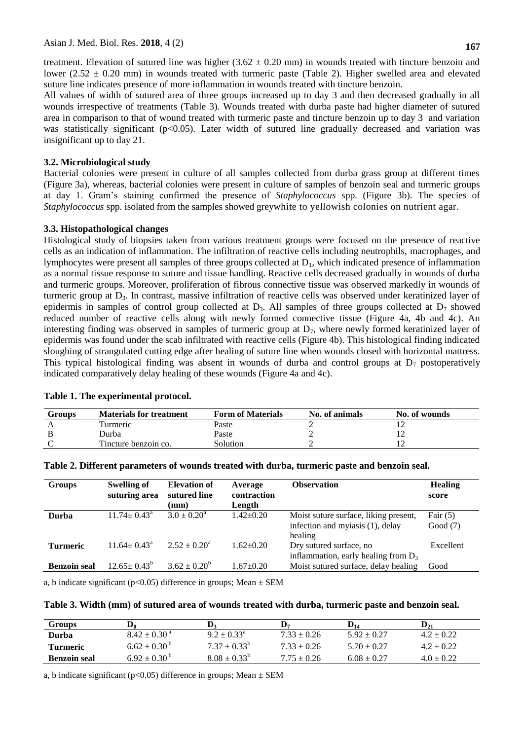treatment. Elevation of sutured line was higher  $(3.62 \pm 0.20 \text{ mm})$  in wounds treated with tincture benzoin and lower (2.52  $\pm$  0.20 mm) in wounds treated with turmeric paste (Table 2). Higher swelled area and elevated suture line indicates presence of more inflammation in wounds treated with tincture benzoin.

All values of width of sutured area of three groups increased up to day 3 and then decreased gradually in all wounds irrespective of treatments (Table 3). Wounds treated with durba paste had higher diameter of sutured area in comparison to that of wound treated with turmeric paste and tincture benzoin up to day 3 and variation was statistically significant (p<0.05). Later width of sutured line gradually decreased and variation was insignificant up to day 21.

#### **3.2. Microbiological study**

Bacterial colonies were present in culture of all samples collected from durba grass group at different times (Figure 3a), whereas, bacterial colonies were present in culture of samples of benzoin seal and turmeric groups at day 1. Gram's staining confirmed the presence of *Staphylococcus* spp*.* (Figure 3b). The species of *Staphylococcus* spp. isolated from the samples showed greywhite to yellowish colonies on nutrient agar.

#### **3.3. Histopathological changes**

Histological study of biopsies taken from various treatment groups were focused on the presence of reactive cells as an indication of inflammation. The infiltration of reactive cells including neutrophils, macrophages, and lymphocytes were present all samples of three groups collected at  $D<sub>1</sub>$ , which indicated presence of inflammation as a normal tissue response to suture and tissue handling. Reactive cells decreased gradually in wounds of durba and turmeric groups. Moreover, proliferation of fibrous connective tissue was observed markedly in wounds of turmeric group at  $D_3$ . In contrast, massive infiltration of reactive cells was observed under keratinized layer of epidermis in samples of control group collected at  $D_3$ . All samples of three groups collected at  $D_7$  showed reduced number of reactive cells along with newly formed connective tissue (Figure 4a, 4b and 4c). An interesting finding was observed in samples of turmeric group at  $D_7$ , where newly formed keratinized layer of epidermis was found under the scab infiltrated with reactive cells (Figure 4b). This histological finding indicated sloughing of strangulated cutting edge after healing of suture line when wounds closed with horizontal mattress. This typical histological finding was absent in wounds of durba and control groups at  $D_7$  postoperatively indicated comparatively delay healing of these wounds (Figure 4a and 4c).

| <b>Groups</b> | <b>Materials for treatment</b> | <b>Form of Materials</b> | No. of animals | No. of wounds |
|---------------|--------------------------------|--------------------------|----------------|---------------|
|               | Turmeric                       | Paste                    |                |               |
|               | Durba                          | Paste                    |                |               |
|               | Tincture benzoin co.           | Solution                 |                |               |

#### **Table 1. The experimental protocol.**

| <b>Groups</b>       | <b>Swelling of</b><br>suturing area | <b>Elevation of</b><br>sutured line<br>$(\mathbf{mm})$ | Average<br>contraction<br>Length | <b>Observation</b>                                                                   | <b>Healing</b><br>score  |
|---------------------|-------------------------------------|--------------------------------------------------------|----------------------------------|--------------------------------------------------------------------------------------|--------------------------|
| Durba               | $11.74 \pm 0.43^{\circ}$            | $3.0 \pm 0.20^a$                                       | $1.42+0.20$                      | Moist suture surface, liking present,<br>infection and myiasis (1), delay<br>healing | Fair $(5)$<br>Good $(7)$ |
| <b>Turmeric</b>     | $11.64 + 0.43^a$                    | $2.52 \pm 0.20^{\circ}$                                | $1.62 \pm 0.20$                  | Dry sutured surface, no<br>inflammation, early healing from $D_3$                    | Excellent                |
| <b>Benzoin</b> seal | $12.65 \pm 0.43^b$                  | $3.62 + 0.20^{b}$                                      | $1.67 + 0.20$                    | Moist sutured surface, delay healing                                                 | Good                     |

**Table 2. Different parameters of wounds treated with durba, turmeric paste and benzoin seal.**

a, b indicate significant ( $p<0.05$ ) difference in groups; Mean  $\pm$  SEM

#### **Table 3. Width (mm) of sutured area of wounds treated with durba, turmeric paste and benzoin seal.**

| <b>Groups</b>       | D،                          | D                      | D,              | $\mathbf{D}_{14}$ | $\mathbf{D}_{21}$ |
|---------------------|-----------------------------|------------------------|-----------------|-------------------|-------------------|
| Durba               | $8.42 \pm 0.30^{\text{ a}}$ | $9.2 \pm 0.33^{\circ}$ | $7.33 \pm 0.26$ | $5.92 + 0.27$     | $4.2 \pm 0.22$    |
| <b>Turmeric</b>     | $6.62 \pm 0.30^{b}$         | $7.37 + 0.33^{b}$      | $7.33 + 0.26$   | $5.70 + 0.27$     | $4.2 \pm 0.22$    |
| <b>Benzoin seal</b> | $6.92 \pm 0.30^{\circ}$     | $8.08 + 0.33^{o}$      | $7.75 + 0.26$   | $6.08 \pm 0.27$   | $4.0 \pm 0.22$    |

a, b indicate significant ( $p<0.05$ ) difference in groups; Mean  $\pm$  SEM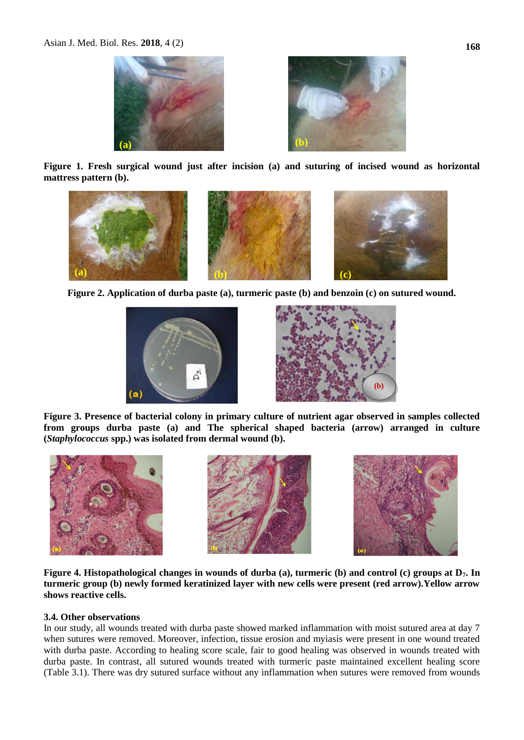

**Figure 1. Fresh surgical wound just after incision (a) and suturing of incised wound as horizontal mattress pattern (b).**



**Figure 2. Application of durba paste (a), turmeric paste (b) and benzoin (c) on sutured wound.**





**Figure 3. Presence of bacterial colony in primary culture of nutrient agar observed in samples collected from groups durba paste (a) and The spherical shaped bacteria (arrow) arranged in culture (***Staphylococcus* **spp.) was isolated from dermal wound (b).**



**Figure 4. Histopathological changes in wounds of durba (a), turmeric (b) and control (c) groups at D7. In turmeric group (b) newly formed keratinized layer with new cells were present (red arrow).Yellow arrow shows reactive cells.**

#### **3.4. Other observations**

In our study, all wounds treated with durba paste showed marked inflammation with moist sutured area at day 7 when sutures were removed. Moreover, infection, tissue erosion and myiasis were present in one wound treated with durba paste. According to healing score scale, fair to good healing was observed in wounds treated with durba paste. In contrast, all sutured wounds treated with turmeric paste maintained excellent healing score (Table 3.1). There was dry sutured surface without any inflammation when sutures were removed from wounds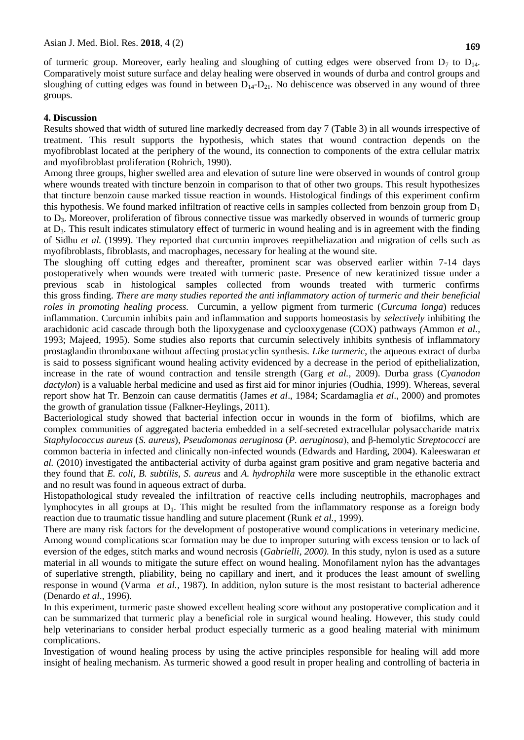of turmeric group. Moreover, early healing and sloughing of cutting edges were observed from  $D_7$  to  $D_{14}$ . Comparatively moist suture surface and delay healing were observed in wounds of durba and control groups and sloughing of cutting edges was found in between  $D_{14}$ - $D_{21}$ . No dehiscence was observed in any wound of three groups.

#### **4. Discussion**

Results showed that width of sutured line markedly decreased from day 7 (Table 3) in all wounds irrespective of treatment. This result supports the hypothesis, which states that wound contraction depends on the myofibroblast located at the periphery of the wound, its connection to components of the extra cellular matrix and myofibroblast proliferation (Rohrich, 1990).

Among three groups, higher swelled area and elevation of suture line were observed in wounds of control group where wounds treated with tincture benzoin in comparison to that of other two groups. This result hypothesizes that tincture benzoin cause marked tissue reaction in wounds. Histological findings of this experiment confirm this hypothesis. We found marked infiltration of reactive cells in samples collected from benzoin group from  $D_1$ to D3. Moreover, proliferation of fibrous connective tissue was markedly observed in wounds of turmeric group at  $D_3$ . This result indicates stimulatory effect of turmeric in wound healing and is in agreement with the finding of Sidhu *et al.* (1999). They reported that curcumin improves reepitheliazation and migration of cells such as myofibroblasts, fibroblasts, and macrophages, necessary for healing at the wound site.

The sloughing off cutting edges and thereafter, prominent scar was observed earlier within 7-14 days postoperatively when wounds were treated with turmeric paste. Presence of new keratinized tissue under a previous scab in histological samples collected from wounds treated with turmeric confirms this gross finding. *There are many studies reported the anti inflammatory action of turmeric and their beneficial roles in promoting healing process.* Curcumin, a yellow pigment from turmeric (*Curcuma longa*) reduces inflammation. Curcumin inhibits pain and inflammation and supports homeostasis by *selectively* inhibiting the arachidonic acid cascade through both the lipoxygenase and cyclooxygenase (COX) pathways *(*Ammon *et al.,* 1993; Majeed*,* 1995). Some studies also reports that curcumin selectively inhibits synthesis of inflammatory prostaglandin thromboxane without affecting prostacyclin synthesis*. Like turmeric,* the aqueous extract of durba is said to possess significant wound healing activity evidenced by a decrease in the period of epithelialization, increase in the rate of wound contraction and tensile strength (Garg *et al.,* 2009). Durba grass (*Cyanodon dactylon*) is a valuable herbal medicine and used as first aid for minor injuries (Oudhia, 1999). Whereas, several report show hat Tr. Benzoin can cause dermatitis (James *et al*., 1984; Scardamaglia *et al*., 2000) and promotes the growth of granulation tissue (Falkner-Heylings, 2011).

Bacteriological study showed that bacterial infection occur in wounds in the form of biofilms, which are complex communities of aggregated bacteria embedded in a self-secreted extracellular polysaccharide matrix *Staphylococcus aureus* (*S. aureus*), *Pseudomonas aeruginosa* (*P. aeruginosa*), and β-hemolytic *Streptococci* are common bacteria in infected and clinically non-infected wounds [\(Edwards and Harding, 2004\)](http://www.ncbi.nlm.nih.gov/pubmed/15021046). Kaleeswaran *et al.* (2010) investigated the antibacterial activity of durba against gram positive and gram negative bacteria and they found that *E. coli, B. subtilis, S. aureus* and *A. hydrophila* were more susceptible in the ethanolic extract and no result was found in aqueous extract of durba.

Histopathological study revealed the infiltration of reactive cells including neutrophils, macrophages and lymphocytes in all groups at  $D_1$ . This might be resulted from the inflammatory response as a foreign body reaction due to traumatic tissue handling and suture placement (Runk *et al.*, 1999).

There are many risk factors for the development of postoperative wound complications in veterinary medicine. Among wound complications scar formation may be due to improper suturing with excess tension or to lack of eversion of the edges, stitch marks and wound necrosis (*Gabrielli, 2000).* In this study, nylon is used as a suture material in all wounds to mitigate the suture effect on wound healing. Monofilament nylon has the advantages of superlative strength, pliability, being no capillary and inert, and it produces the least amount of swelling response in wound [\(Varma](http://www.ncbi.nlm.nih.gov/pubmed?term=%22Varma%20S%22%5BAuthor%5D) *et al.,* 1987). In addition, nylon suture is the most resistant to bacterial adherence (Denardo *et al*., 1996).

In this experiment, turmeric paste showed excellent healing score without any postoperative complication and it can be summarized that turmeric play a beneficial role in surgical wound healing. However, this study could help veterinarians to consider herbal product especially turmeric as a good healing material with minimum complications.

Investigation of wound healing process by using the active principles responsible for healing will add more insight of healing mechanism. As turmeric showed a good result in proper healing and controlling of bacteria in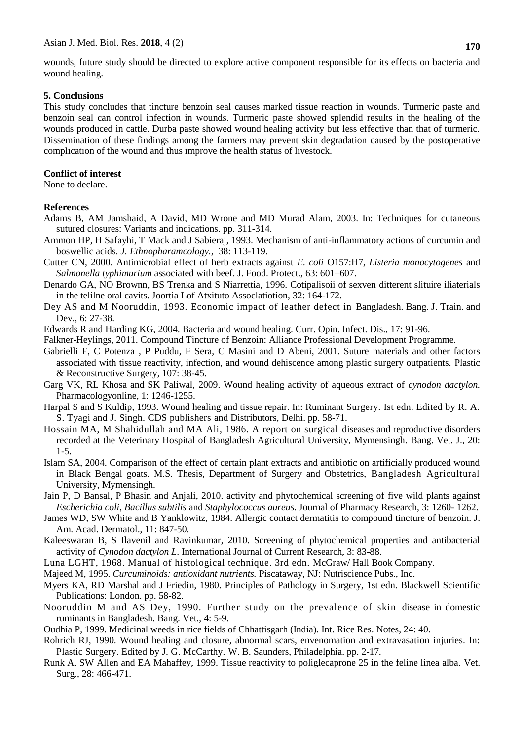wounds, future study should be directed to explore active component responsible for its effects on bacteria and wound healing.

#### **5. Conclusions**

This study concludes that tincture benzoin seal causes marked tissue reaction in wounds. Turmeric paste and benzoin seal can control infection in wounds. Turmeric paste showed splendid results in the healing of the wounds produced in cattle. Durba paste showed wound healing activity but less effective than that of turmeric. Dissemination of these findings among the farmers may prevent skin degradation caused by the postoperative complication of the wound and thus improve the health status of livestock.

#### **Conflict of interest**

None to declare.

#### **References**

- Adams B, AM Jamshaid, A David, MD Wrone and MD Murad Alam, 2003. In: Techniques for cutaneous sutured closures: Variants and indications. pp. 311-314.
- Ammon HP, H Safayhi, T Mack and J Sabieraj, 1993. Mechanism of anti-inflammatory actions of curcumin and boswellic acids. *J. Ethnopharamcology.,* 38: 113-119.
- Cutter CN, 2000. Antimicrobial effect of herb extracts against *E. coli* O157:H7, *Listeria monocytogenes* and *Salmonella typhimurium* associated with beef. J. Food. Protect., 63: 601–607.
- Denardo GA, NO Brownn, BS Trenka and S Niarrettia, 1996. Cotipalisoii of sexven ditterent slituire iliaterials in the telilne oral cavits. Joortia Lof Atxituto Assoclatiotion, 32: 164-172.
- Dey AS and M Nooruddin, 1993. Economic impact of leather defect in Bangladesh. Bang. J. Train. and Dev., 6: 27-38.
- Edwards R and Harding KG, 2004. Bacteria and wound healing. Curr. Opin. Infect. Dis., 17: 91-96.
- Falkner-Heylings, 2011. Compound Tincture of Benzoin: Alliance Professional Development Programme*.*
- [Gabrielli F,](http://www.ncbi.nlm.nih.gov/pubmed?term=%22Gabrielli%20F%22%5BAuthor%5D) C [Potenza ,](http://www.ncbi.nlm.nih.gov/pubmed?term=%22Potenza%20C%22%5BAuthor%5D) P [Puddu,](http://www.ncbi.nlm.nih.gov/pubmed?term=%22Puddu%20P%22%5BAuthor%5D) F [Sera,](http://www.ncbi.nlm.nih.gov/pubmed?term=%22Sera%20F%22%5BAuthor%5D) C [Masini](http://www.ncbi.nlm.nih.gov/pubmed?term=%22Masini%20C%22%5BAuthor%5D) and D [Abeni,](http://www.ncbi.nlm.nih.gov/pubmed?term=%22Abeni%20D%22%5BAuthor%5D) 2001. Suture materials and other factors associated with tissue reactivity, infection, and wound dehiscence among plastic surgery outpatients. Plastic & Reconstructive Surgery, 107: 38-45.
- Garg VK, RL Khosa and SK Paliwal, 2009. Wound healing activity of aqueous extract of *cynodon dactylon.*  Pharmacologyonline, 1: 1246-1255.
- Harpal S and S Kuldip, 1993. Wound healing and tissue repair. In: Ruminant Surgery. Ist edn. Edited by R. A. S. Tyagi and J. Singh. CDS publishers and Distributors, Delhi. pp. 58-71.
- Hossain MA, M Shahidullah and MA Ali, 1986. A report on surgical diseases and reproductive disorders recorded at the Veterinary Hospital of Bangladesh Agricultural University, Mymensingh. Bang. Vet. J., 20: 1-5.
- Islam SA, 2004. Comparison of the effect of certain plant extracts and antibiotic on artificially produced wound in Black Bengal goats. M.S. Thesis, Department of Surgery and Obstetrics, Bangladesh Agricultural University, Mymensingh.
- Jain P, D Bansal, P Bhasin and Anjali, 2010. activity and phytochemical screening of five wild plants against *Escherichia coli*, *Bacillus subtilis* and *Staphylococcus aureus*. Journal of Pharmacy Research, 3: 1260- 1262.
- James WD, SW White and B Yanklowitz, 1984. Allergic contact dermatitis to compound tincture of benzoin. J. Am. Acad. Dermatol., 11: 847-50.
- Kaleeswaran B, S Ilavenil and Ravinkumar, 2010. Screening of phytochemical properties and antibacterial activity of *Cynodon dactylon L*. International Journal of Current Research, 3: 83-88.
- Luna LGHT, 1968. Manual of histological technique. 3rd edn. McGraw/ Hall Book Company.
- Majeed M, 1995. *Curcuminoids: antioxidant nutrients.* Piscataway, NJ: Nutriscience Pubs., Inc.
- Myers KA, RD Marshal and J Friedin, 1980. Principles of Pathology in Surgery, 1st edn. Blackwell Scientific Publications: London. pp. 58-82.
- Nooruddin M and AS Dey, 1990. Further study on the prevalence of skin disease in domestic ruminants in Bangladesh. Bang. Vet., 4: 5-9.
- Oudhia P, 1999. Medicinal weeds in rice fields of Chhattisgarh (India). Int. Rice Res. Notes, 24: 40.
- Rohrich RJ, 1990. Wound healing and closure, abnormal scars, envenomation and extravasation injuries. In: Plastic Surgery. Edited by J. G. McCarthy. W. B. Saunders, Philadelphia. pp. 2-17*.*
- Runk A, SW Allen and EA Mahaffey, 1999. Tissue reactivity to poliglecaprone 25 in the feline linea alba. Vet. Surg., 28: 466-471.